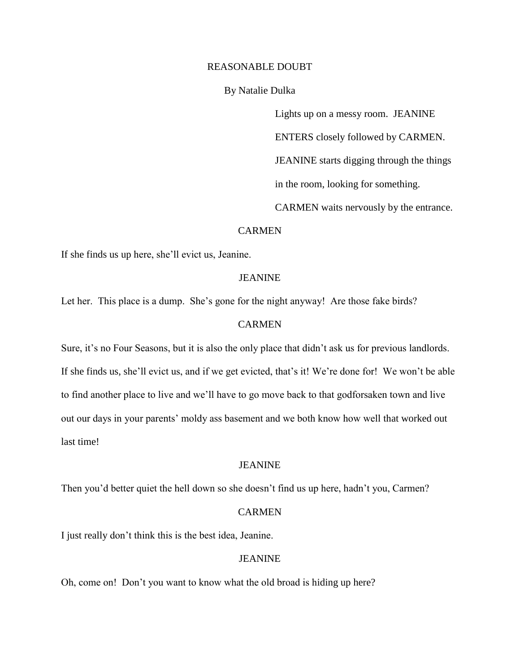# REASONABLE DOUBT

By Natalie Dulka

Lights up on a messy room. JEANINE ENTERS closely followed by CARMEN.

JEANINE starts digging through the things

in the room, looking for something.

CARMEN waits nervously by the entrance.

## CARMEN

If she finds us up here, she'll evict us, Jeanine.

## **JEANINE**

Let her. This place is a dump. She's gone for the night anyway! Are those fake birds?

# **CARMEN**

Sure, it's no Four Seasons, but it is also the only place that didn't ask us for previous landlords. If she finds us, she'll evict us, and if we get evicted, that's it! We're done for! We won't be able to find another place to live and we'll have to go move back to that godforsaken town and live out our days in your parents' moldy ass basement and we both know how well that worked out last time!

## JEANINE

Then you'd better quiet the hell down so she doesn't find us up here, hadn't you, Carmen?

# CARMEN

I just really don't think this is the best idea, Jeanine.

# **JEANINE**

Oh, come on! Don't you want to know what the old broad is hiding up here?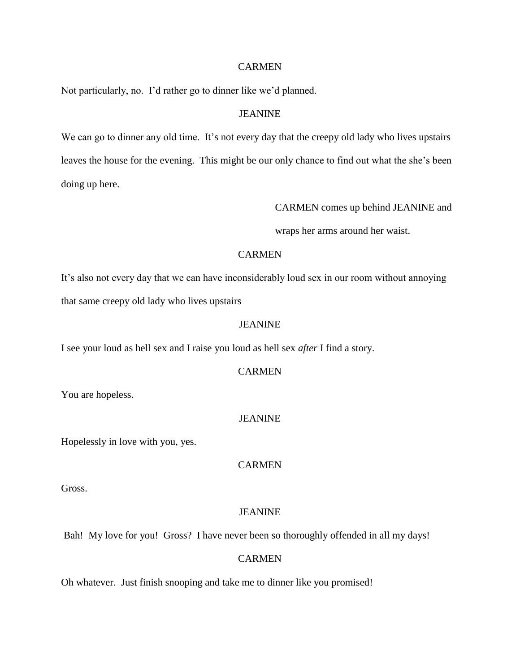Not particularly, no. I'd rather go to dinner like we'd planned.

# JEANINE

We can go to dinner any old time. It's not every day that the creepy old lady who lives upstairs leaves the house for the evening. This might be our only chance to find out what the she's been doing up here.

CARMEN comes up behind JEANINE and

wraps her arms around her waist.

# **CARMEN**

It's also not every day that we can have inconsiderably loud sex in our room without annoying that same creepy old lady who lives upstairs

# JEANINE

I see your loud as hell sex and I raise you loud as hell sex *after* I find a story.

## **CARMEN**

You are hopeless.

# JEANINE

Hopelessly in love with you, yes.

# **CARMEN**

Gross.

## JEANINE

Bah! My love for you! Gross? I have never been so thoroughly offended in all my days!

#### CARMEN

Oh whatever. Just finish snooping and take me to dinner like you promised!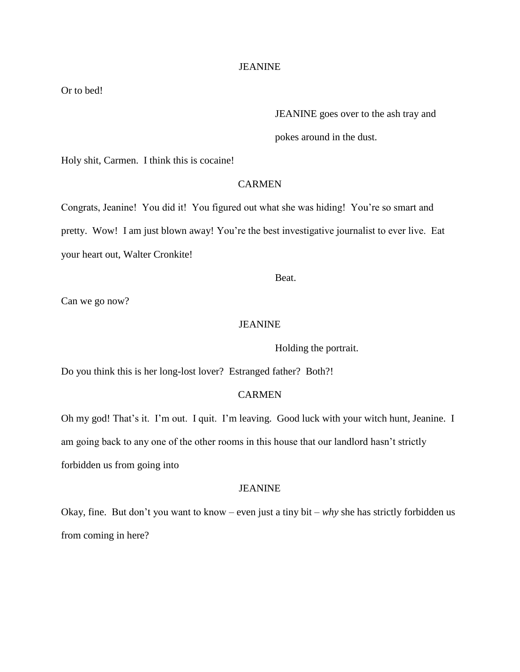Or to bed!

JEANINE goes over to the ash tray and

pokes around in the dust.

Holy shit, Carmen. I think this is cocaine!

# **CARMEN**

Congrats, Jeanine! You did it! You figured out what she was hiding! You're so smart and pretty. Wow! I am just blown away! You're the best investigative journalist to ever live. Eat your heart out, Walter Cronkite!

Beat.

Can we go now?

# JEANINE

Holding the portrait.

Do you think this is her long-lost lover? Estranged father? Both?!

## CARMEN

Oh my god! That's it. I'm out. I quit. I'm leaving. Good luck with your witch hunt, Jeanine. I am going back to any one of the other rooms in this house that our landlord hasn't strictly forbidden us from going into

## JEANINE

Okay, fine. But don't you want to know – even just a tiny bit – *why* she has strictly forbidden us from coming in here?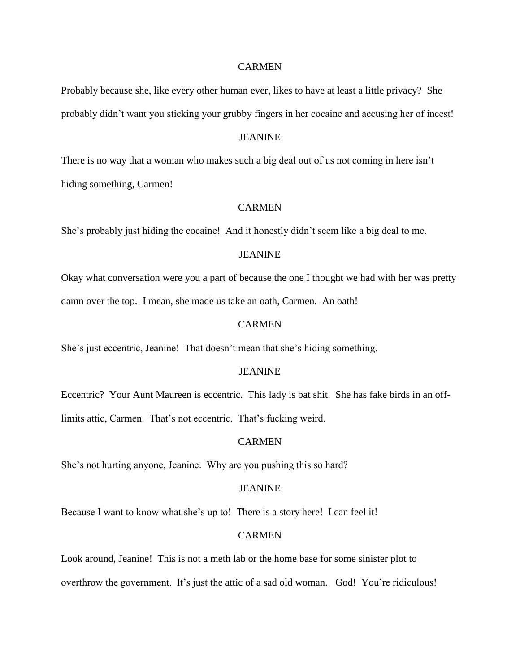Probably because she, like every other human ever, likes to have at least a little privacy? She probably didn't want you sticking your grubby fingers in her cocaine and accusing her of incest!

#### **JEANINE**

There is no way that a woman who makes such a big deal out of us not coming in here isn't hiding something, Carmen!

## CARMEN

She's probably just hiding the cocaine! And it honestly didn't seem like a big deal to me.

# JEANINE

Okay what conversation were you a part of because the one I thought we had with her was pretty damn over the top. I mean, she made us take an oath, Carmen. An oath!

# **CARMEN**

She's just eccentric, Jeanine! That doesn't mean that she's hiding something.

## **JEANINE**

Eccentric? Your Aunt Maureen is eccentric. This lady is bat shit. She has fake birds in an offlimits attic, Carmen. That's not eccentric. That's fucking weird.

## **CARMEN**

She's not hurting anyone, Jeanine. Why are you pushing this so hard?

## JEANINE

Because I want to know what she's up to! There is a story here! I can feel it!

## CARMEN

Look around, Jeanine! This is not a meth lab or the home base for some sinister plot to overthrow the government. It's just the attic of a sad old woman. God! You're ridiculous!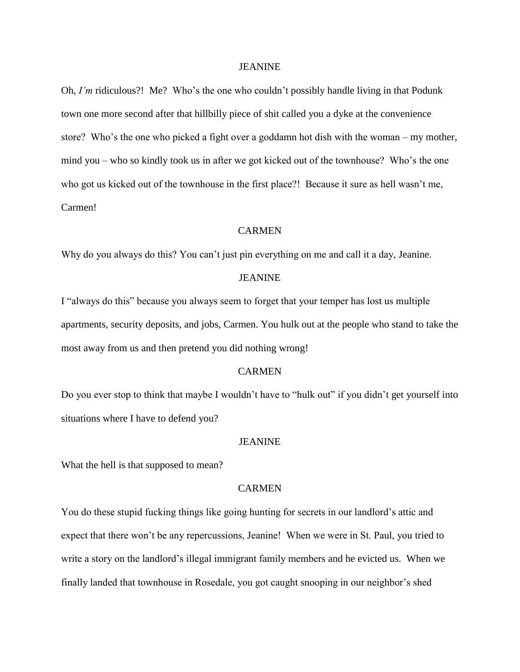Oh, *I'm* ridiculous?! Me? Who's the one who couldn't possibly handle living in that Podunk town one more second after that hillbilly piece of shit called you a dyke at the convenience store? Who's the one who picked a fight over a goddamn hot dish with the woman – my mother, mind you – who so kindly took us in after we got kicked out of the townhouse? Who's the one who got us kicked out of the townhouse in the first place?! Because it sure as hell wasn't me, Carmen!

## CARMEN

Why do you always do this? You can't just pin everything on me and call it a day, Jeanine.

#### JEANINE

I "always do this" because you always seem to forget that your temper has lost us multiple apartments, security deposits, and jobs, Carmen. You hulk out at the people who stand to take the most away from us and then pretend you did nothing wrong!

## **CARMEN**

Do you ever stop to think that maybe I wouldn't have to "hulk out" if you didn't get yourself into situations where I have to defend you?

## JEANINE

What the hell is that supposed to mean?

## CARMEN

You do these stupid fucking things like going hunting for secrets in our landlord's attic and expect that there won't be any repercussions, Jeanine! When we were in St. Paul, you tried to write a story on the landlord's illegal immigrant family members and he evicted us. When we finally landed that townhouse in Rosedale, you got caught snooping in our neighbor's shed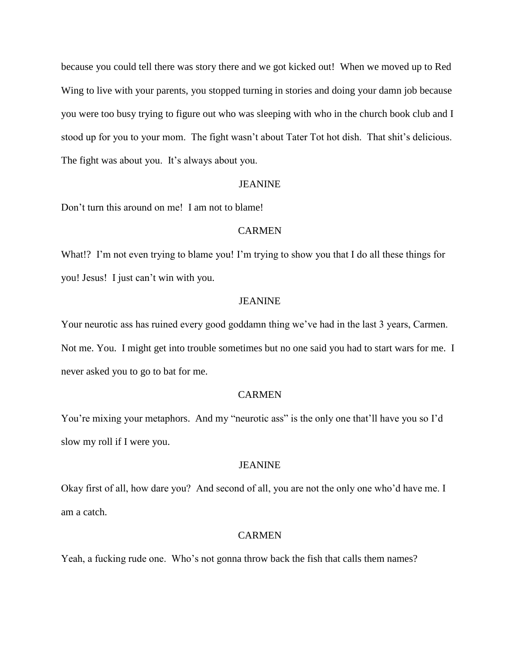because you could tell there was story there and we got kicked out! When we moved up to Red Wing to live with your parents, you stopped turning in stories and doing your damn job because you were too busy trying to figure out who was sleeping with who in the church book club and I stood up for you to your mom. The fight wasn't about Tater Tot hot dish. That shit's delicious. The fight was about you. It's always about you.

## JEANINE

Don't turn this around on me! I am not to blame!

# **CARMEN**

What!? I'm not even trying to blame you! I'm trying to show you that I do all these things for you! Jesus! I just can't win with you.

## JEANINE

Your neurotic ass has ruined every good goddamn thing we've had in the last 3 years, Carmen. Not me. You. I might get into trouble sometimes but no one said you had to start wars for me. I never asked you to go to bat for me.

## CARMEN

You're mixing your metaphors. And my "neurotic ass" is the only one that'll have you so I'd slow my roll if I were you.

#### JEANINE

Okay first of all, how dare you? And second of all, you are not the only one who'd have me. I am a catch.

#### CARMEN

Yeah, a fucking rude one. Who's not gonna throw back the fish that calls them names?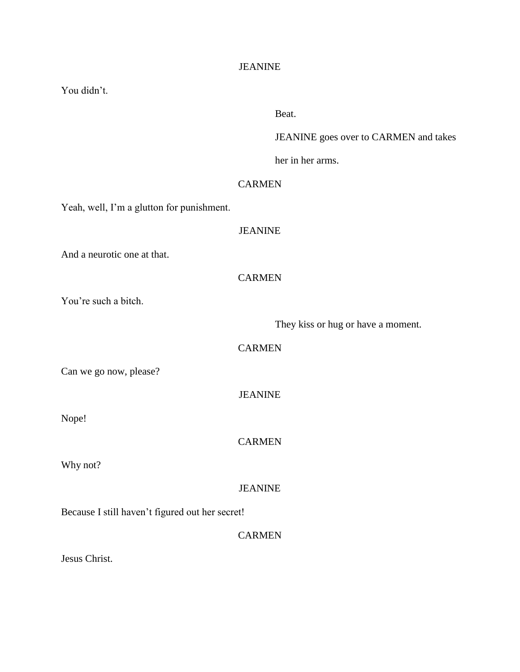| You didn't.                                     |                                       |
|-------------------------------------------------|---------------------------------------|
|                                                 | Beat.                                 |
|                                                 | JEANINE goes over to CARMEN and takes |
|                                                 | her in her arms.                      |
|                                                 | <b>CARMEN</b>                         |
| Yeah, well, I'm a glutton for punishment.       |                                       |
|                                                 | <b>JEANINE</b>                        |
| And a neurotic one at that.                     |                                       |
|                                                 | <b>CARMEN</b>                         |
| You're such a bitch.                            |                                       |
|                                                 | They kiss or hug or have a moment.    |
|                                                 | <b>CARMEN</b>                         |
| Can we go now, please?                          |                                       |
|                                                 | <b>JEANINE</b>                        |
| Nope!                                           |                                       |
|                                                 | <b>CARMEN</b>                         |
| Why not?                                        |                                       |
|                                                 | <b>JEANINE</b>                        |
| Because I still haven't figured out her secret! |                                       |
|                                                 | <b>CARMEN</b>                         |
|                                                 |                                       |

Jesus Christ.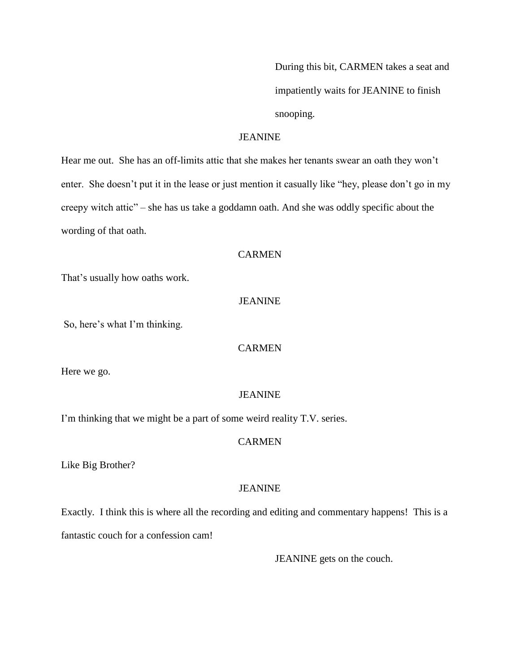During this bit, CARMEN takes a seat and impatiently waits for JEANINE to finish snooping.

# **JEANINE**

Hear me out. She has an off-limits attic that she makes her tenants swear an oath they won't enter. She doesn't put it in the lease or just mention it casually like "hey, please don't go in my creepy witch attic" – she has us take a goddamn oath. And she was oddly specific about the wording of that oath.

# **CARMEN**

That's usually how oaths work.

## **JEANINE**

So, here's what I'm thinking.

## **CARMEN**

Here we go.

#### JEANINE

I'm thinking that we might be a part of some weird reality T.V. series.

#### **CARMEN**

Like Big Brother?

#### JEANINE

Exactly. I think this is where all the recording and editing and commentary happens! This is a fantastic couch for a confession cam!

JEANINE gets on the couch.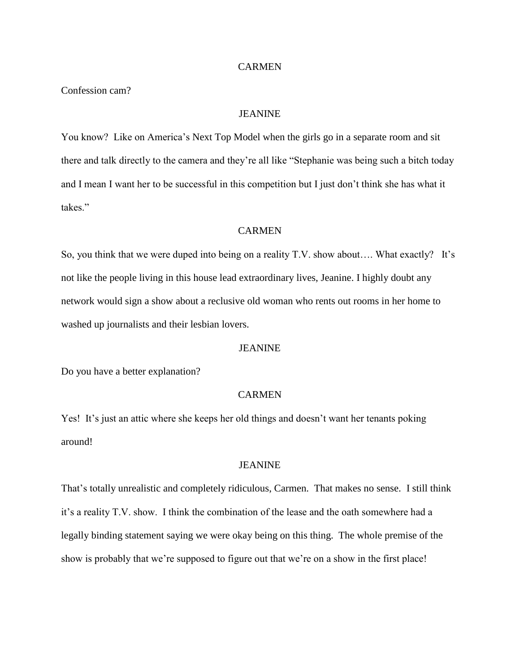Confession cam?

# JEANINE

You know? Like on America's Next Top Model when the girls go in a separate room and sit there and talk directly to the camera and they're all like "Stephanie was being such a bitch today and I mean I want her to be successful in this competition but I just don't think she has what it takes."

# CARMEN

So, you think that we were duped into being on a reality T.V. show about…. What exactly? It's not like the people living in this house lead extraordinary lives, Jeanine. I highly doubt any network would sign a show about a reclusive old woman who rents out rooms in her home to washed up journalists and their lesbian lovers.

## JEANINE

Do you have a better explanation?

## CARMEN

Yes! It's just an attic where she keeps her old things and doesn't want her tenants poking around!

#### JEANINE

That's totally unrealistic and completely ridiculous, Carmen. That makes no sense. I still think it's a reality T.V. show. I think the combination of the lease and the oath somewhere had a legally binding statement saying we were okay being on this thing. The whole premise of the show is probably that we're supposed to figure out that we're on a show in the first place!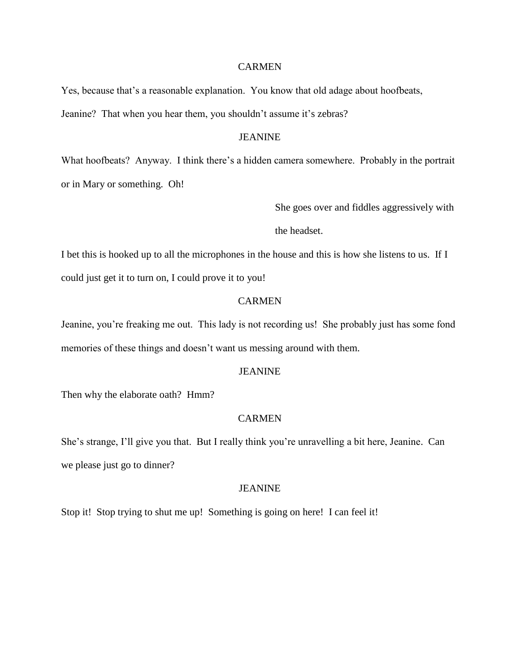Yes, because that's a reasonable explanation. You know that old adage about hoofbeats, Jeanine? That when you hear them, you shouldn't assume it's zebras?

# JEANINE

What hoofbeats? Anyway. I think there's a hidden camera somewhere. Probably in the portrait or in Mary or something. Oh!

She goes over and fiddles aggressively with

the headset.

I bet this is hooked up to all the microphones in the house and this is how she listens to us. If I could just get it to turn on, I could prove it to you!

# **CARMEN**

Jeanine, you're freaking me out. This lady is not recording us! She probably just has some fond memories of these things and doesn't want us messing around with them.

## JEANINE

Then why the elaborate oath? Hmm?

# **CARMEN**

She's strange, I'll give you that. But I really think you're unravelling a bit here, Jeanine. Can we please just go to dinner?

#### JEANINE

Stop it! Stop trying to shut me up! Something is going on here! I can feel it!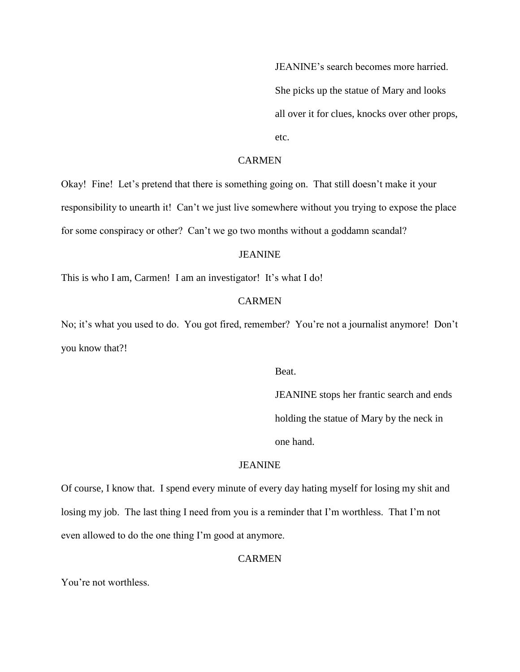JEANINE's search becomes more harried. She picks up the statue of Mary and looks all over it for clues, knocks over other props, etc.

# CARMEN

Okay! Fine! Let's pretend that there is something going on. That still doesn't make it your responsibility to unearth it! Can't we just live somewhere without you trying to expose the place for some conspiracy or other? Can't we go two months without a goddamn scandal?

# JEANINE

This is who I am, Carmen! I am an investigator! It's what I do!

## **CARMEN**

No; it's what you used to do. You got fired, remember? You're not a journalist anymore! Don't you know that?!

Beat.

JEANINE stops her frantic search and ends holding the statue of Mary by the neck in one hand.

## JEANINE

Of course, I know that. I spend every minute of every day hating myself for losing my shit and losing my job. The last thing I need from you is a reminder that I'm worthless. That I'm not even allowed to do the one thing I'm good at anymore.

# **CARMEN**

You're not worthless.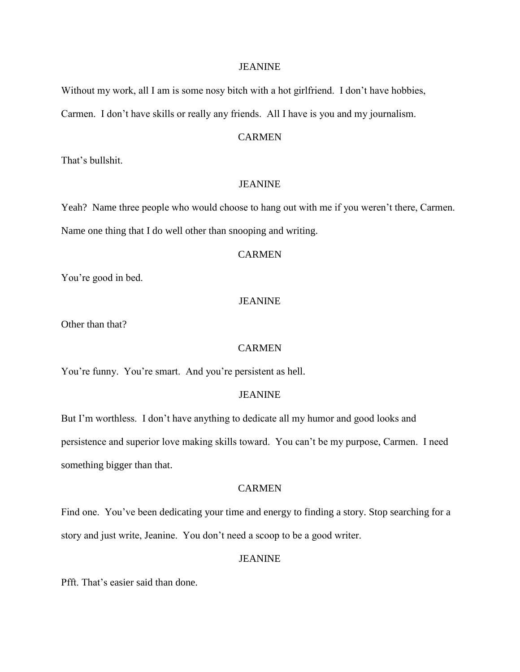Without my work, all I am is some nosy bitch with a hot girlfriend. I don't have hobbies, Carmen. I don't have skills or really any friends. All I have is you and my journalism.

## CARMEN

That's bullshit.

# JEANINE

Yeah? Name three people who would choose to hang out with me if you weren't there, Carmen. Name one thing that I do well other than snooping and writing.

# **CARMEN**

You're good in bed.

# JEANINE

Other than that?

## **CARMEN**

You're funny. You're smart. And you're persistent as hell.

## JEANINE

But I'm worthless. I don't have anything to dedicate all my humor and good looks and persistence and superior love making skills toward. You can't be my purpose, Carmen. I need something bigger than that.

## CARMEN

Find one. You've been dedicating your time and energy to finding a story. Stop searching for a story and just write, Jeanine. You don't need a scoop to be a good writer.

## JEANINE

Pfft. That's easier said than done.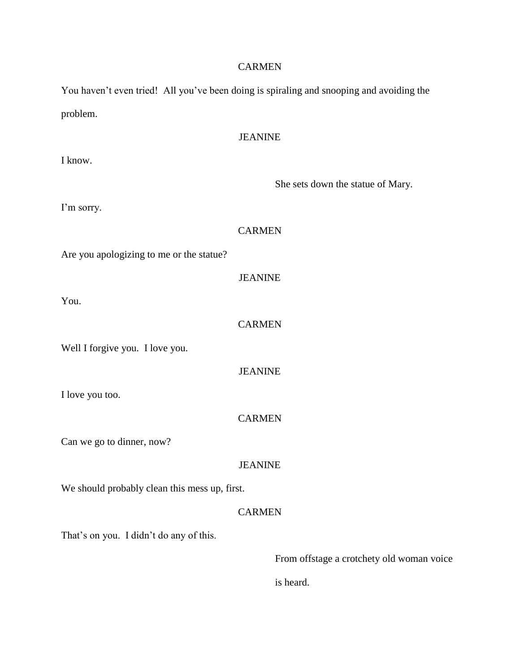You haven't even tried! All you've been doing is spiraling and snooping and avoiding the problem.

# **JEANINE** I know. She sets down the statue of Mary. I'm sorry. **CARMEN** Are you apologizing to me or the statue? JEANINE **CARMEN** Well I forgive you. I love you. JEANINE I love you too. CARMEN Can we go to dinner, now? JEANINE We should probably clean this mess up, first. CARMEN That's on you. I didn't do any of this.

You.

From offstage a crotchety old woman voice

is heard.